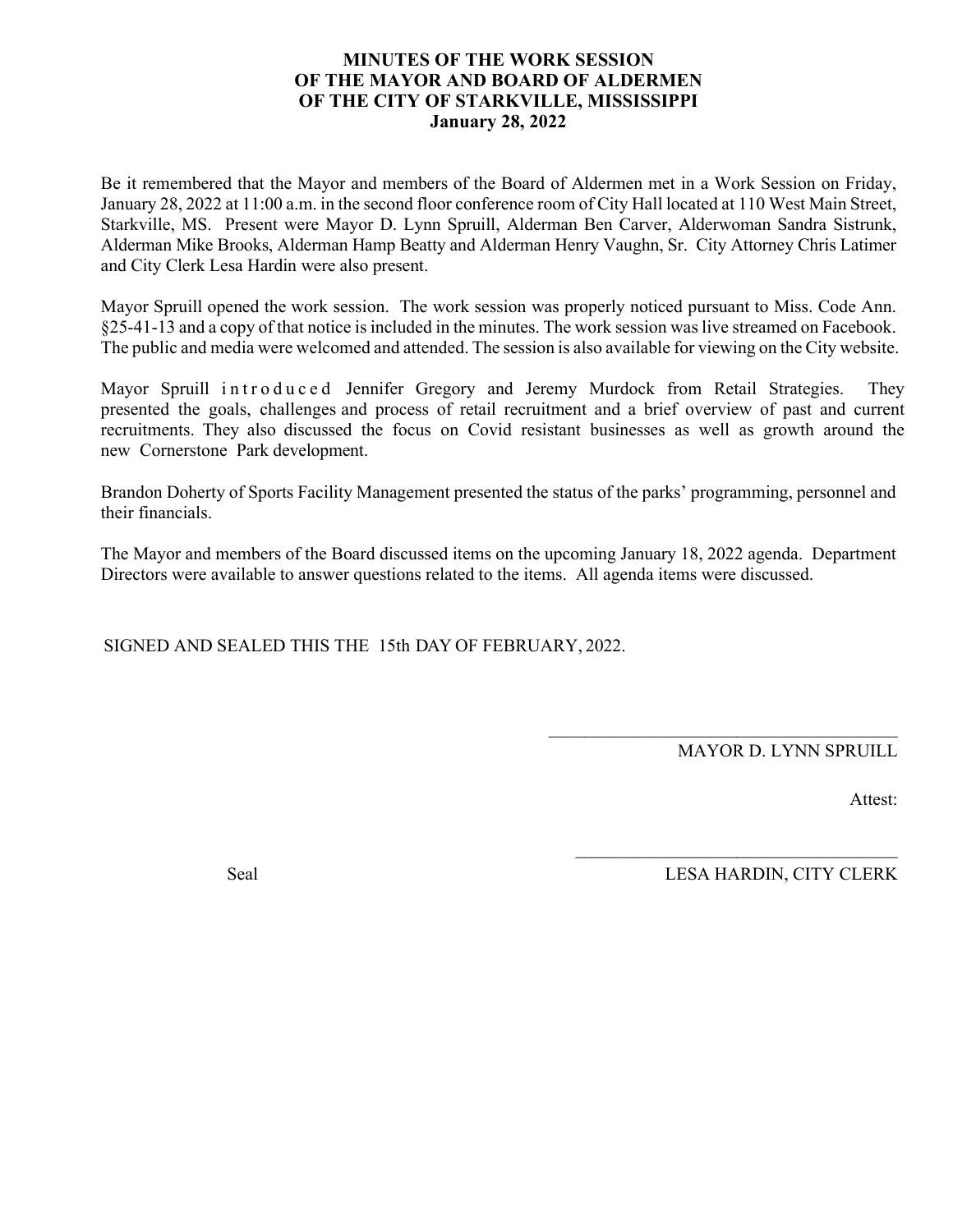#### **MINUTES OF THE WORK SESSION OF THE MAYOR AND BOARD OF ALDERMEN OF THE CITY OF STARKVILLE, MISSISSIPPI January 28, 2022**

Be it remembered that the Mayor and members of the Board of Aldermen met in a Work Session on Friday, January 28, 2022 at 11:00 a.m. in the second floor conference room of City Hall located at 110 West Main Street, Starkville, MS. Present were Mayor D. Lynn Spruill, Alderman Ben Carver, Alderwoman Sandra Sistrunk, Alderman Mike Brooks, Alderman Hamp Beatty and Alderman Henry Vaughn, Sr. City Attorney Chris Latimer and City Clerk Lesa Hardin were also present.

Mayor Spruill opened the work session. The work session was properly noticed pursuant to Miss. Code Ann. §25-41-13 and a copy of that notice is included in the minutes. The work session waslive streamed on Facebook. The public and media were welcomed and attended. The session is also available for viewing on the City website.

Mayor Spruill introduced Jennifer Gregory and Jeremy Murdock from Retail Strategies. They presented the goals, challenges and process of retail recruitment and a brief overview of past and current recruitments. They also discussed the focus on Covid resistant businesses as well as growth around the new Cornerstone Park development.

Brandon Doherty of Sports Facility Management presented the status of the parks' programming, personnel and their financials.

The Mayor and members of the Board discussed items on the upcoming January 18, 2022 agenda. Department Directors were available to answer questions related to the items. All agenda items were discussed.

SIGNED AND SEALED THIS THE 15th DAY OF FEBRUARY, 2022.

MAYOR D. LYNN SPRUILL

\_\_\_\_\_\_\_\_\_\_\_\_\_\_\_\_\_\_\_\_\_\_\_\_\_\_\_\_\_\_\_\_\_\_\_\_\_\_\_

 $\mathcal{L}_\text{max}$  , and the set of the set of the set of the set of the set of the set of the set of the set of the set of the set of the set of the set of the set of the set of the set of the set of the set of the set of the

Attest:

Seal LESA HARDIN, CITY CLERK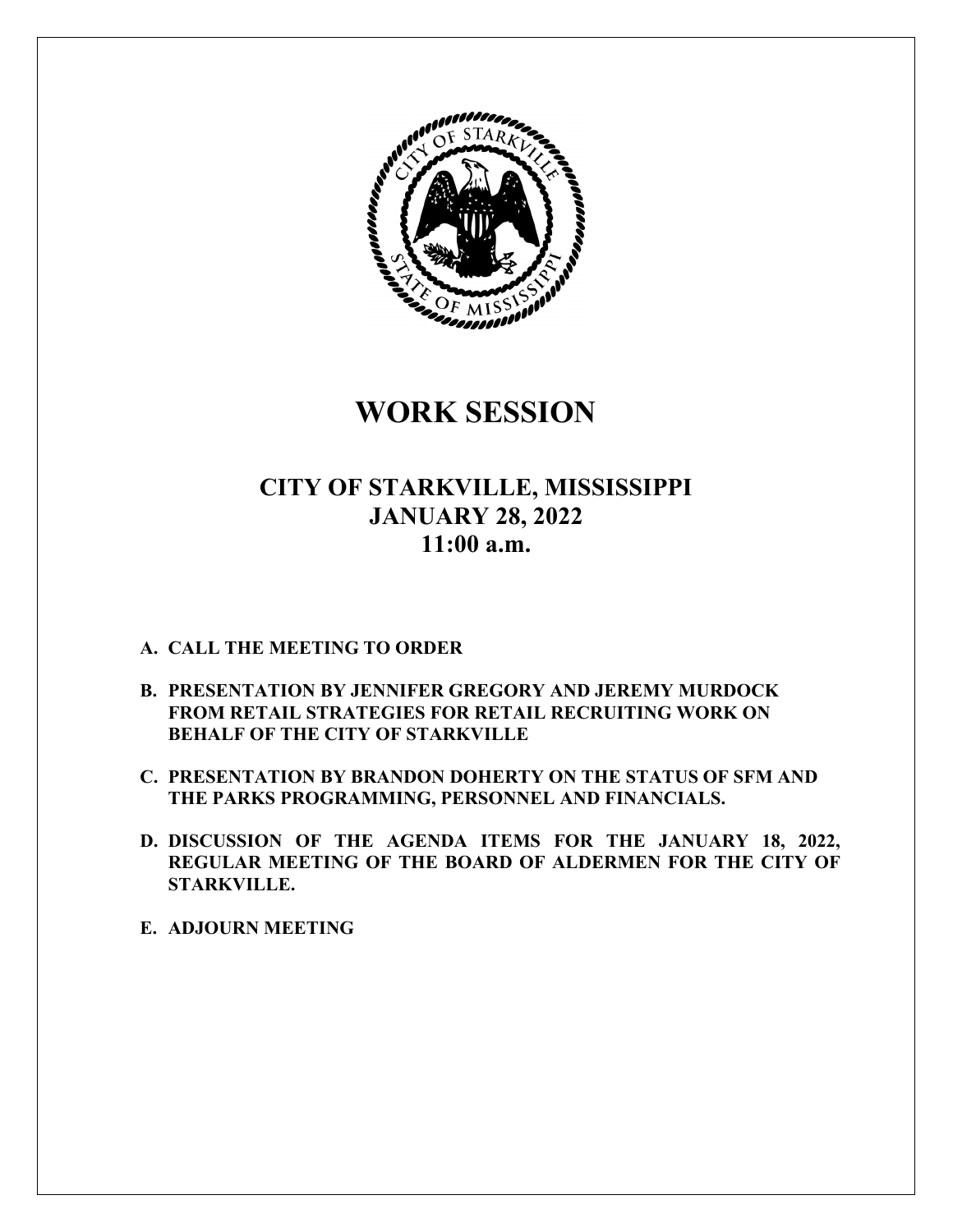

**WORK SESSION** 

### **CITY OF STARKVILLE, MISSISSIPPI JANUARY 28, 2022 11:00 a.m.**

#### **A. CALL THE MEETING TO ORDER**

- **B. PRESENTATION BY JENNIFER GREGORY AND JEREMY MURDOCK FROM RETAIL STRATEGIES FOR RETAIL RECRUITING WORK ON BEHALF OF THE CITY OF STARKVILLE**
- **C. PRESENTATION BY BRANDON DOHERTY ON THE STATUS OF SFM AND THE PARKS PROGRAMMING, PERSONNEL AND FINANCIALS.**
- **D. DISCUSSION OF THE AGENDA ITEMS FOR THE JANUARY 18, 2022, REGULAR MEETING OF THE BOARD OF ALDERMEN FOR THE CITY OF STARKVILLE.**
- **E. ADJOURN MEETING**